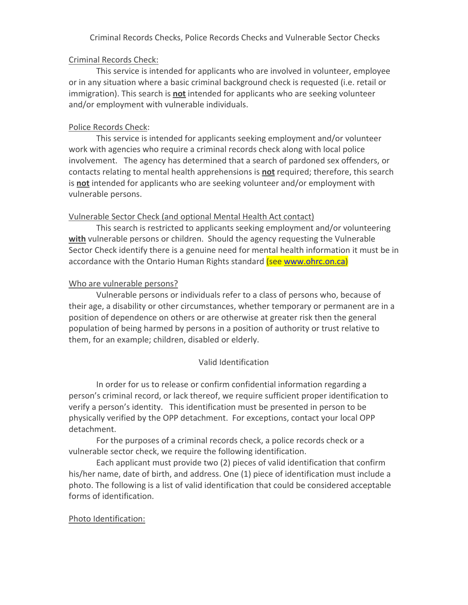Criminal Records Checks, Police Records Checks and Vulnerable Sector Checks

## Criminal Records Check:

This service is intended for applicants who are involved in volunteer, employee or in any situation where a basic criminal background check is requested (i.e. retail or immigration). This search is **not** intended for applicants who are seeking volunteer and/or employment with vulnerable individuals.

## Police Records Check:

This service is intended for applicants seeking employment and/or volunteer work with agencies who require a criminal records check along with local police involvement. The agency has determined that a search of pardoned sex offenders, or contacts relating to mental health apprehensions is **not** required; therefore, this search is **not** intended for applicants who are seeking volunteer and/or employment with vulnerable persons.

### Vulnerable Sector Check (and optional Mental Health Act contact)

This search is restricted to applicants seeking employment and/or volunteering **with** vulnerable persons or children. Should the agency requesting the Vulnerable Sector Check identify there is a genuine need for mental health information it must be in accordance with the Ontario Human Rights standard (see www.ohrc.on.ca)

### Who are vulnerable persons?

Vulnerable persons or individuals refer to a class of persons who, because of their age, a disability or other circumstances, whether temporary or permanent are in a position of dependence on others or are otherwise at greater risk then the general population of being harmed by persons in a position of authority or trust relative to them, for an example; children, disabled or elderly.

# Valid Identification

In order for us to release or confirm confidential information regarding a person's criminal record, or lack thereof, we require sufficient proper identification to verify a person's identity. This identification must be presented in person to be physically verified by the OPP detachment. For exceptions, contact your local OPP detachment.

For the purposes of a criminal records check, a police records check or a vulnerable sector check, we require the following identification.

Each applicant must provide two (2) pieces of valid identification that confirm his/her name, date of birth, and address. One (1) piece of identification must include a photo. The following is a list of valid identification that could be considered acceptable forms of identification.

#### Photo Identification: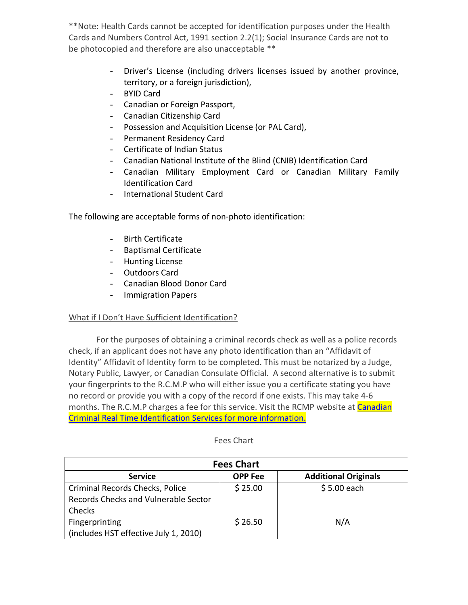\*\*Note: Health Cards cannot be accepted for identification purposes under the Health Cards and Numbers Control Act, 1991 section 2.2(1); Social Insurance Cards are not to be photocopied and therefore are also unacceptable \*\*

- Driver's License (including drivers licenses issued by another province, territory, or a foreign jurisdiction),
- BYID Card
- Canadian or Foreign Passport,
- Canadian Citizenship Card
- Possession and Acquisition License (or PAL Card),
- Permanent Residency Card
- Certificate of Indian Status
- Canadian National Institute of the Blind (CNIB) Identification Card
- Canadian Military Employment Card or Canadian Military Family Identification Card
- International Student Card

The following are acceptable forms of non‐photo identification:

- Birth Certificate
- Baptismal Certificate
- Hunting License
- Outdoors Card
- Canadian Blood Donor Card
- Immigration Papers

# What if I Don't Have Sufficient Identification?

For the purposes of obtaining a criminal records check as well as a police records check, if an applicant does not have any photo identification than an "Affidavit of Identity" Affidavit of Identity form to be completed. This must be notarized by a Judge, Notary Public, Lawyer, or Canadian Consulate Official. A second alternative is to submit your fingerprints to the R.C.M.P who will either issue you a certificate stating you have no record or provide you with a copy of the record if one exists. This may take 4‐6 months. The R.C.M.P charges a fee for this service. Visit the RCMP website at **[Canadian](http://www.rcmp-grc.gc.ca/cr-cj/fing-empr-eng.htm)** Criminal Real Time [Identification](http://www.rcmp-grc.gc.ca/cr-cj/fing-empr-eng.htm) Services for more information.

| <b>Fees Chart</b>                                                                 |                |                             |  |
|-----------------------------------------------------------------------------------|----------------|-----------------------------|--|
| <b>Service</b>                                                                    | <b>OPP</b> Fee | <b>Additional Originals</b> |  |
| Criminal Records Checks, Police<br>Records Checks and Vulnerable Sector<br>Checks | \$25.00        | $$5.00$ each                |  |
| Fingerprinting<br>(includes HST effective July 1, 2010)                           | \$26.50        | N/A                         |  |

#### Fees Chart